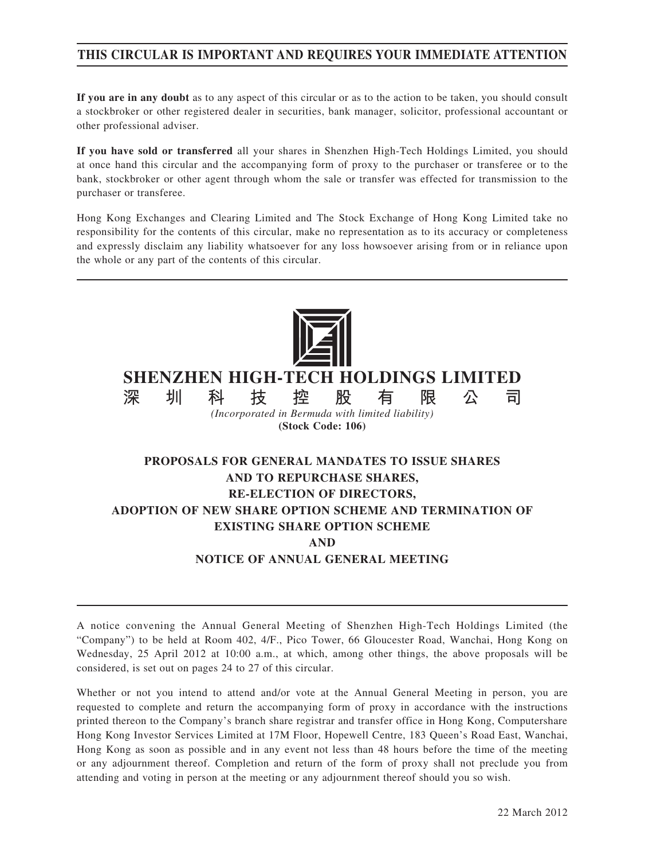# **THIS CIRCULAR IS IMPORTANT AND REQUIRES YOUR IMMEDIATE ATTENTION**

**If you are in any doubt** as to any aspect of this circular or as to the action to be taken, you should consult a stockbroker or other registered dealer in securities, bank manager, solicitor, professional accountant or other professional adviser.

**If you have sold or transferred** all your shares in Shenzhen High-Tech Holdings Limited, you should at once hand this circular and the accompanying form of proxy to the purchaser or transferee or to the bank, stockbroker or other agent through whom the sale or transfer was effected for transmission to the purchaser or transferee.

Hong Kong Exchanges and Clearing Limited and The Stock Exchange of Hong Kong Limited take no responsibility for the contents of this circular, make no representation as to its accuracy or completeness and expressly disclaim any liability whatsoever for any loss howsoever arising from or in reliance upon the whole or any part of the contents of this circular.



**SHENZHEN HIGH-TECH HOLDINGS LIMITED**

**深圳科技控股有限公司** *(Incorporated in Bermuda with limited liability)* **(Stock Code: 106)**

# **PROPOSALS FOR GENERAL MANDATES TO ISSUE SHARES AND TO REPURCHASE SHARES, RE-ELECTION OF DIRECTORS, ADOPTION OF NEW SHARE OPTION SCHEME AND TERMINATION OF EXISTING SHARE OPTION SCHEME AND NOTICE OF ANNUAL GENERAL MEETING**

A notice convening the Annual General Meeting of Shenzhen High-Tech Holdings Limited (the "Company") to be held at Room 402, 4/F., Pico Tower, 66 Gloucester Road, Wanchai, Hong Kong on Wednesday, 25 April 2012 at 10:00 a.m., at which, among other things, the above proposals will be considered, is set out on pages 24 to 27 of this circular.

Whether or not you intend to attend and/or vote at the Annual General Meeting in person, you are requested to complete and return the accompanying form of proxy in accordance with the instructions printed thereon to the Company's branch share registrar and transfer office in Hong Kong, Computershare Hong Kong Investor Services Limited at 17M Floor, Hopewell Centre, 183 Queen's Road East, Wanchai, Hong Kong as soon as possible and in any event not less than 48 hours before the time of the meeting or any adjournment thereof. Completion and return of the form of proxy shall not preclude you from attending and voting in person at the meeting or any adjournment thereof should you so wish.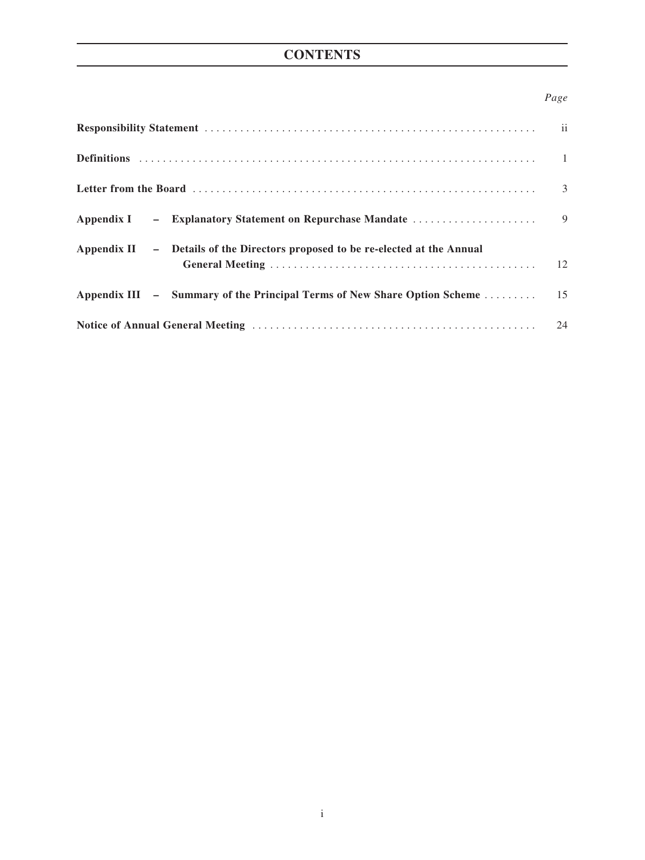# **CONTENTS**

## *Page*

| Appendix I – Explanatory Statement on Repurchase Mandate                       | $\overline{9}$ |
|--------------------------------------------------------------------------------|----------------|
| Appendix II - Details of the Directors proposed to be re-elected at the Annual |                |
|                                                                                |                |
|                                                                                |                |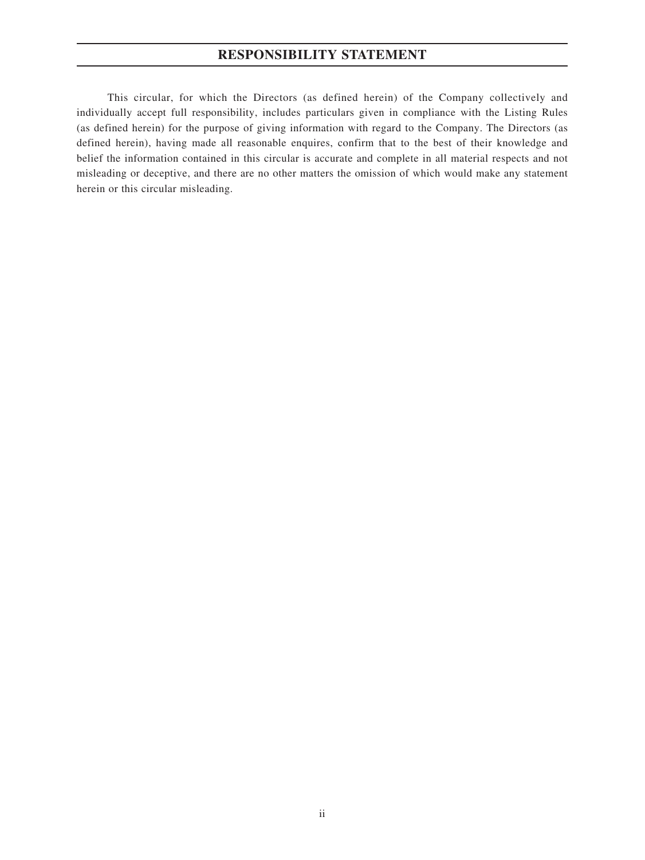# **RESPONSIBILITY STATEMENT**

This circular, for which the Directors (as defined herein) of the Company collectively and individually accept full responsibility, includes particulars given in compliance with the Listing Rules (as defined herein) for the purpose of giving information with regard to the Company. The Directors (as defined herein), having made all reasonable enquires, confirm that to the best of their knowledge and belief the information contained in this circular is accurate and complete in all material respects and not misleading or deceptive, and there are no other matters the omission of which would make any statement herein or this circular misleading.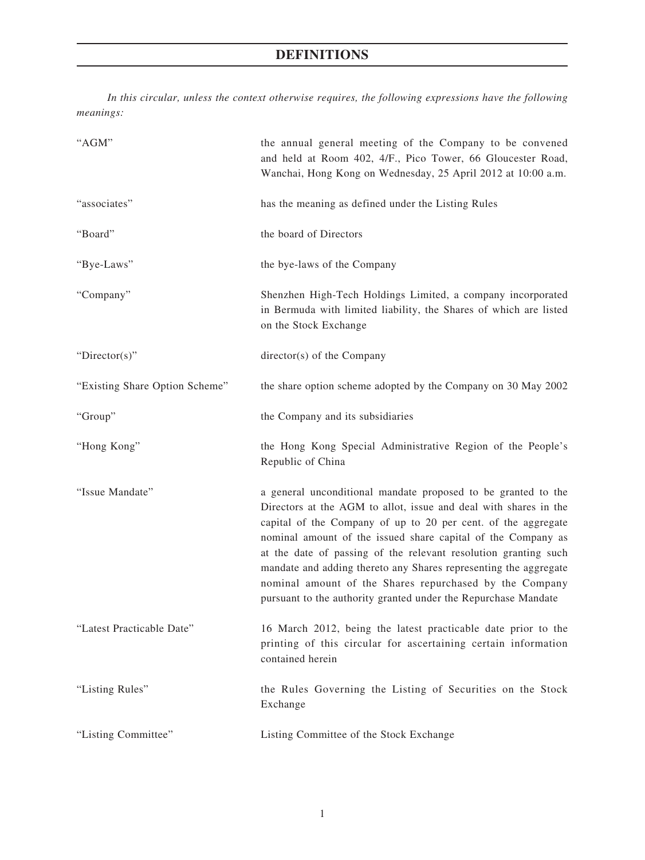# **DEFINITIONS**

*In this circular, unless the context otherwise requires, the following expressions have the following meanings:*

| "AGM"                          | the annual general meeting of the Company to be convened<br>and held at Room 402, 4/F., Pico Tower, 66 Gloucester Road,<br>Wanchai, Hong Kong on Wednesday, 25 April 2012 at 10:00 a.m.                                                                                                                                                                                                                                                                                                                                                |
|--------------------------------|----------------------------------------------------------------------------------------------------------------------------------------------------------------------------------------------------------------------------------------------------------------------------------------------------------------------------------------------------------------------------------------------------------------------------------------------------------------------------------------------------------------------------------------|
| "associates"                   | has the meaning as defined under the Listing Rules                                                                                                                                                                                                                                                                                                                                                                                                                                                                                     |
| "Board"                        | the board of Directors                                                                                                                                                                                                                                                                                                                                                                                                                                                                                                                 |
| "Bye-Laws"                     | the bye-laws of the Company                                                                                                                                                                                                                                                                                                                                                                                                                                                                                                            |
| "Company"                      | Shenzhen High-Tech Holdings Limited, a company incorporated<br>in Bermuda with limited liability, the Shares of which are listed<br>on the Stock Exchange                                                                                                                                                                                                                                                                                                                                                                              |
| " $Directory$ "                | director(s) of the Company                                                                                                                                                                                                                                                                                                                                                                                                                                                                                                             |
| "Existing Share Option Scheme" | the share option scheme adopted by the Company on 30 May 2002                                                                                                                                                                                                                                                                                                                                                                                                                                                                          |
| "Group"                        | the Company and its subsidiaries                                                                                                                                                                                                                                                                                                                                                                                                                                                                                                       |
| "Hong Kong"                    | the Hong Kong Special Administrative Region of the People's<br>Republic of China                                                                                                                                                                                                                                                                                                                                                                                                                                                       |
| "Issue Mandate"                | a general unconditional mandate proposed to be granted to the<br>Directors at the AGM to allot, issue and deal with shares in the<br>capital of the Company of up to 20 per cent. of the aggregate<br>nominal amount of the issued share capital of the Company as<br>at the date of passing of the relevant resolution granting such<br>mandate and adding thereto any Shares representing the aggregate<br>nominal amount of the Shares repurchased by the Company<br>pursuant to the authority granted under the Repurchase Mandate |
| "Latest Practicable Date"      | 16 March 2012, being the latest practicable date prior to the<br>printing of this circular for ascertaining certain information<br>contained herein                                                                                                                                                                                                                                                                                                                                                                                    |
| "Listing Rules"                | the Rules Governing the Listing of Securities on the Stock<br>Exchange                                                                                                                                                                                                                                                                                                                                                                                                                                                                 |
| "Listing Committee"            | Listing Committee of the Stock Exchange                                                                                                                                                                                                                                                                                                                                                                                                                                                                                                |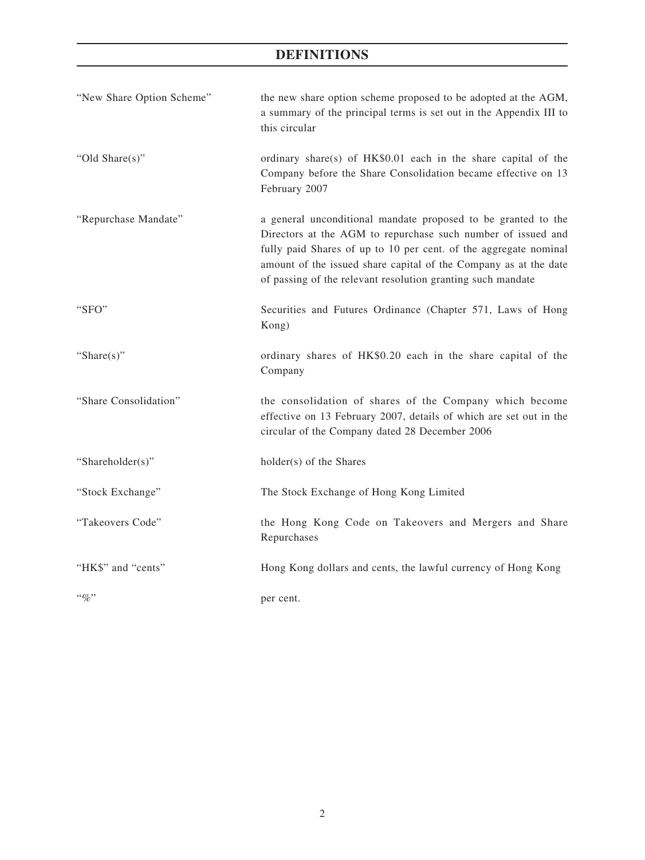# **DEFINITIONS**

| "New Share Option Scheme" | the new share option scheme proposed to be adopted at the AGM,<br>a summary of the principal terms is set out in the Appendix III to<br>this circular                                                                                                                                                                                |
|---------------------------|--------------------------------------------------------------------------------------------------------------------------------------------------------------------------------------------------------------------------------------------------------------------------------------------------------------------------------------|
| "Old Share(s)"            | ordinary share(s) of HK\$0.01 each in the share capital of the<br>Company before the Share Consolidation became effective on 13<br>February 2007                                                                                                                                                                                     |
| "Repurchase Mandate"      | a general unconditional mandate proposed to be granted to the<br>Directors at the AGM to repurchase such number of issued and<br>fully paid Shares of up to 10 per cent. of the aggregate nominal<br>amount of the issued share capital of the Company as at the date<br>of passing of the relevant resolution granting such mandate |
| "SFO"                     | Securities and Futures Ordinance (Chapter 571, Laws of Hong<br>Kong)                                                                                                                                                                                                                                                                 |
| "Share $(s)$ "            | ordinary shares of HK\$0.20 each in the share capital of the<br>Company                                                                                                                                                                                                                                                              |
| "Share Consolidation"     | the consolidation of shares of the Company which become<br>effective on 13 February 2007, details of which are set out in the<br>circular of the Company dated 28 December 2006                                                                                                                                                      |
| "Shareholder(s)"          | holder(s) of the Shares                                                                                                                                                                                                                                                                                                              |
| "Stock Exchange"          | The Stock Exchange of Hong Kong Limited                                                                                                                                                                                                                                                                                              |
| "Takeovers Code"          | the Hong Kong Code on Takeovers and Mergers and Share<br>Repurchases                                                                                                                                                                                                                                                                 |
| "HK\$" and "cents"        | Hong Kong dollars and cents, the lawful currency of Hong Kong                                                                                                                                                                                                                                                                        |
| $``\%"$                   | per cent.                                                                                                                                                                                                                                                                                                                            |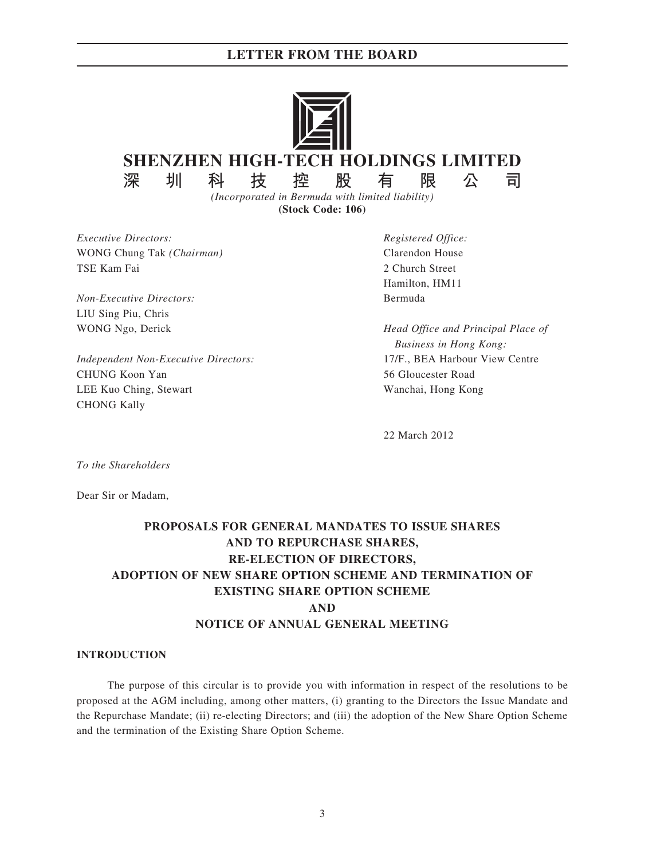

**(Stock Code: 106)**

*Executive Directors: Registered Office:* WONG Chung Tak *(Chairman)* Clarendon House TSE Kam Fai 2 Church Street

*Non-Executive Directors:* Bermuda LIU Sing Piu, Chris

*Independent Non-Executive Directors:* 17/F., BEA Harbour View Centre CHUNG Koon Yan 56 Gloucester Road LEE Kuo Ching, Stewart Wanchai, Hong Kong CHONG Kally

Hamilton, HM11

WONG Ngo, Derick *Head Office and Principal Place of Business in Hong Kong:*

22 March 2012

*To the Shareholders*

Dear Sir or Madam,

# **PROPOSALS FOR GENERAL MANDATES TO ISSUE SHARES AND TO REPURCHASE SHARES, RE-ELECTION OF DIRECTORS, ADOPTION OF NEW SHARE OPTION SCHEME AND TERMINATION OF EXISTING SHARE OPTION SCHEME AND NOTICE OF ANNUAL GENERAL MEETING**

#### **INTRODUCTION**

The purpose of this circular is to provide you with information in respect of the resolutions to be proposed at the AGM including, among other matters, (i) granting to the Directors the Issue Mandate and the Repurchase Mandate; (ii) re-electing Directors; and (iii) the adoption of the New Share Option Scheme and the termination of the Existing Share Option Scheme.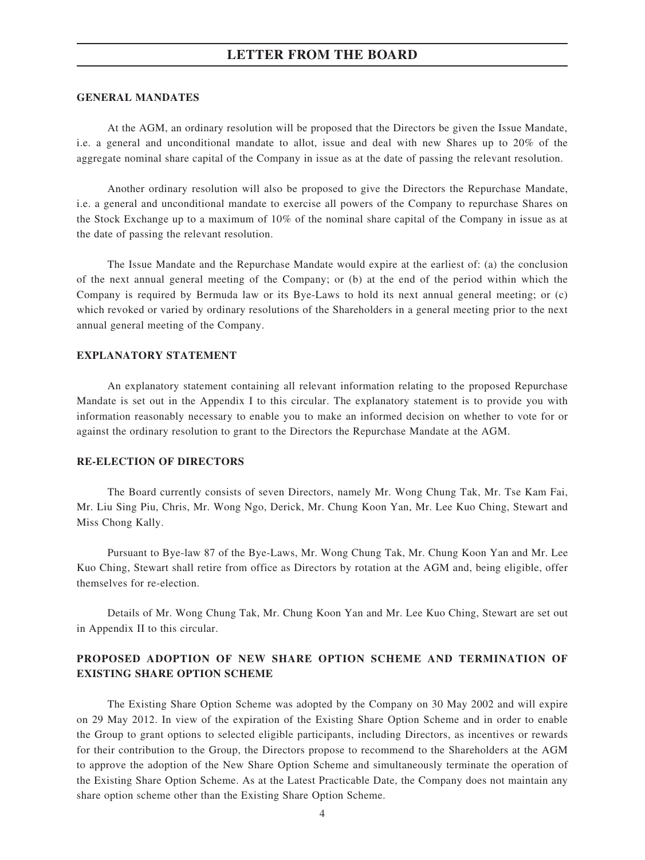#### **GENERAL MANDATES**

At the AGM, an ordinary resolution will be proposed that the Directors be given the Issue Mandate, i.e. a general and unconditional mandate to allot, issue and deal with new Shares up to 20% of the aggregate nominal share capital of the Company in issue as at the date of passing the relevant resolution.

Another ordinary resolution will also be proposed to give the Directors the Repurchase Mandate, i.e. a general and unconditional mandate to exercise all powers of the Company to repurchase Shares on the Stock Exchange up to a maximum of 10% of the nominal share capital of the Company in issue as at the date of passing the relevant resolution.

The Issue Mandate and the Repurchase Mandate would expire at the earliest of: (a) the conclusion of the next annual general meeting of the Company; or (b) at the end of the period within which the Company is required by Bermuda law or its Bye-Laws to hold its next annual general meeting; or (c) which revoked or varied by ordinary resolutions of the Shareholders in a general meeting prior to the next annual general meeting of the Company.

#### **EXPLANATORY STATEMENT**

An explanatory statement containing all relevant information relating to the proposed Repurchase Mandate is set out in the Appendix I to this circular. The explanatory statement is to provide you with information reasonably necessary to enable you to make an informed decision on whether to vote for or against the ordinary resolution to grant to the Directors the Repurchase Mandate at the AGM.

#### **RE-ELECTION OF DIRECTORS**

The Board currently consists of seven Directors, namely Mr. Wong Chung Tak, Mr. Tse Kam Fai, Mr. Liu Sing Piu, Chris, Mr. Wong Ngo, Derick, Mr. Chung Koon Yan, Mr. Lee Kuo Ching, Stewart and Miss Chong Kally.

Pursuant to Bye-law 87 of the Bye-Laws, Mr. Wong Chung Tak, Mr. Chung Koon Yan and Mr. Lee Kuo Ching, Stewart shall retire from office as Directors by rotation at the AGM and, being eligible, offer themselves for re-election.

Details of Mr. Wong Chung Tak, Mr. Chung Koon Yan and Mr. Lee Kuo Ching, Stewart are set out in Appendix II to this circular.

## **PROPOSED ADOPTION OF NEW SHARE OPTION SCHEME AND TERMINATION OF EXISTING SHARE OPTION SCHEME**

The Existing Share Option Scheme was adopted by the Company on 30 May 2002 and will expire on 29 May 2012. In view of the expiration of the Existing Share Option Scheme and in order to enable the Group to grant options to selected eligible participants, including Directors, as incentives or rewards for their contribution to the Group, the Directors propose to recommend to the Shareholders at the AGM to approve the adoption of the New Share Option Scheme and simultaneously terminate the operation of the Existing Share Option Scheme. As at the Latest Practicable Date, the Company does not maintain any share option scheme other than the Existing Share Option Scheme.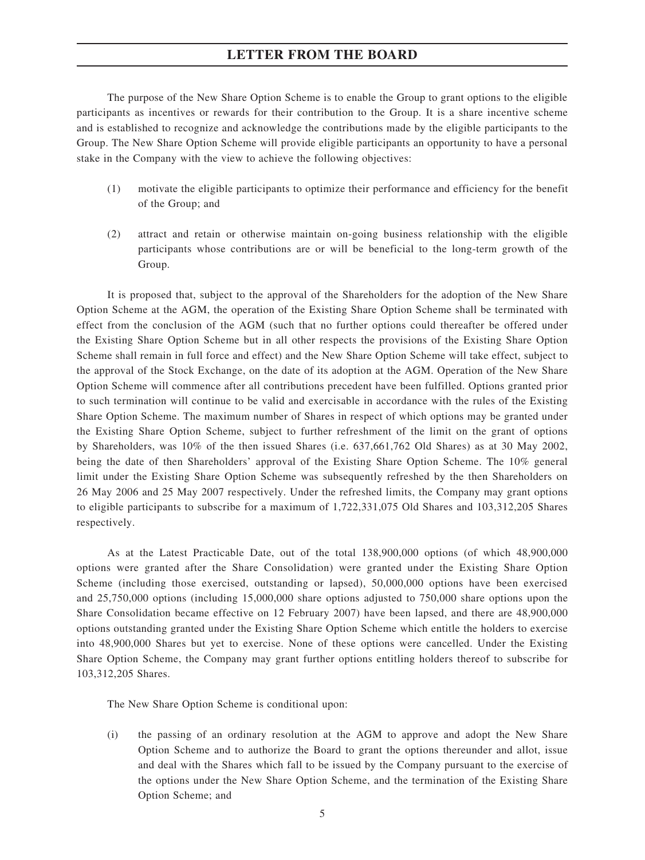The purpose of the New Share Option Scheme is to enable the Group to grant options to the eligible participants as incentives or rewards for their contribution to the Group. It is a share incentive scheme and is established to recognize and acknowledge the contributions made by the eligible participants to the Group. The New Share Option Scheme will provide eligible participants an opportunity to have a personal stake in the Company with the view to achieve the following objectives:

- (1) motivate the eligible participants to optimize their performance and efficiency for the benefit of the Group; and
- (2) attract and retain or otherwise maintain on-going business relationship with the eligible participants whose contributions are or will be beneficial to the long-term growth of the Group.

It is proposed that, subject to the approval of the Shareholders for the adoption of the New Share Option Scheme at the AGM, the operation of the Existing Share Option Scheme shall be terminated with effect from the conclusion of the AGM (such that no further options could thereafter be offered under the Existing Share Option Scheme but in all other respects the provisions of the Existing Share Option Scheme shall remain in full force and effect) and the New Share Option Scheme will take effect, subject to the approval of the Stock Exchange, on the date of its adoption at the AGM. Operation of the New Share Option Scheme will commence after all contributions precedent have been fulfilled. Options granted prior to such termination will continue to be valid and exercisable in accordance with the rules of the Existing Share Option Scheme. The maximum number of Shares in respect of which options may be granted under the Existing Share Option Scheme, subject to further refreshment of the limit on the grant of options by Shareholders, was 10% of the then issued Shares (i.e. 637,661,762 Old Shares) as at 30 May 2002, being the date of then Shareholders' approval of the Existing Share Option Scheme. The 10% general limit under the Existing Share Option Scheme was subsequently refreshed by the then Shareholders on 26 May 2006 and 25 May 2007 respectively. Under the refreshed limits, the Company may grant options to eligible participants to subscribe for a maximum of 1,722,331,075 Old Shares and 103,312,205 Shares respectively.

As at the Latest Practicable Date, out of the total 138,900,000 options (of which 48,900,000 options were granted after the Share Consolidation) were granted under the Existing Share Option Scheme (including those exercised, outstanding or lapsed), 50,000,000 options have been exercised and 25,750,000 options (including 15,000,000 share options adjusted to 750,000 share options upon the Share Consolidation became effective on 12 February 2007) have been lapsed, and there are 48,900,000 options outstanding granted under the Existing Share Option Scheme which entitle the holders to exercise into 48,900,000 Shares but yet to exercise. None of these options were cancelled. Under the Existing Share Option Scheme, the Company may grant further options entitling holders thereof to subscribe for 103,312,205 Shares.

The New Share Option Scheme is conditional upon:

(i) the passing of an ordinary resolution at the AGM to approve and adopt the New Share Option Scheme and to authorize the Board to grant the options thereunder and allot, issue and deal with the Shares which fall to be issued by the Company pursuant to the exercise of the options under the New Share Option Scheme, and the termination of the Existing Share Option Scheme; and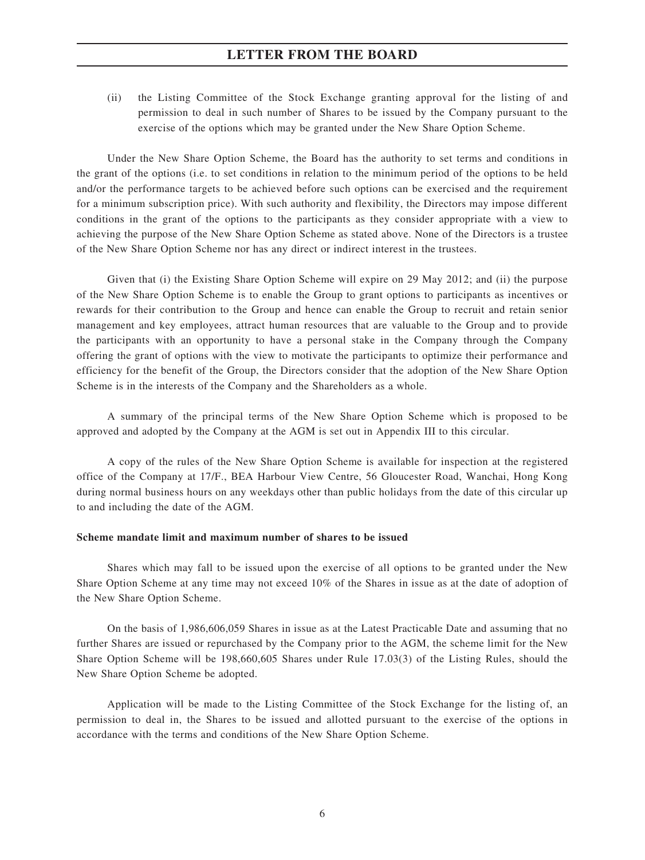(ii) the Listing Committee of the Stock Exchange granting approval for the listing of and permission to deal in such number of Shares to be issued by the Company pursuant to the exercise of the options which may be granted under the New Share Option Scheme.

Under the New Share Option Scheme, the Board has the authority to set terms and conditions in the grant of the options (i.e. to set conditions in relation to the minimum period of the options to be held and/or the performance targets to be achieved before such options can be exercised and the requirement for a minimum subscription price). With such authority and flexibility, the Directors may impose different conditions in the grant of the options to the participants as they consider appropriate with a view to achieving the purpose of the New Share Option Scheme as stated above. None of the Directors is a trustee of the New Share Option Scheme nor has any direct or indirect interest in the trustees.

Given that (i) the Existing Share Option Scheme will expire on 29 May 2012; and (ii) the purpose of the New Share Option Scheme is to enable the Group to grant options to participants as incentives or rewards for their contribution to the Group and hence can enable the Group to recruit and retain senior management and key employees, attract human resources that are valuable to the Group and to provide the participants with an opportunity to have a personal stake in the Company through the Company offering the grant of options with the view to motivate the participants to optimize their performance and efficiency for the benefit of the Group, the Directors consider that the adoption of the New Share Option Scheme is in the interests of the Company and the Shareholders as a whole.

A summary of the principal terms of the New Share Option Scheme which is proposed to be approved and adopted by the Company at the AGM is set out in Appendix III to this circular.

A copy of the rules of the New Share Option Scheme is available for inspection at the registered office of the Company at 17/F., BEA Harbour View Centre, 56 Gloucester Road, Wanchai, Hong Kong during normal business hours on any weekdays other than public holidays from the date of this circular up to and including the date of the AGM.

#### **Scheme mandate limit and maximum number of shares to be issued**

Shares which may fall to be issued upon the exercise of all options to be granted under the New Share Option Scheme at any time may not exceed 10% of the Shares in issue as at the date of adoption of the New Share Option Scheme.

On the basis of 1,986,606,059 Shares in issue as at the Latest Practicable Date and assuming that no further Shares are issued or repurchased by the Company prior to the AGM, the scheme limit for the New Share Option Scheme will be 198,660,605 Shares under Rule 17.03(3) of the Listing Rules, should the New Share Option Scheme be adopted.

Application will be made to the Listing Committee of the Stock Exchange for the listing of, an permission to deal in, the Shares to be issued and allotted pursuant to the exercise of the options in accordance with the terms and conditions of the New Share Option Scheme.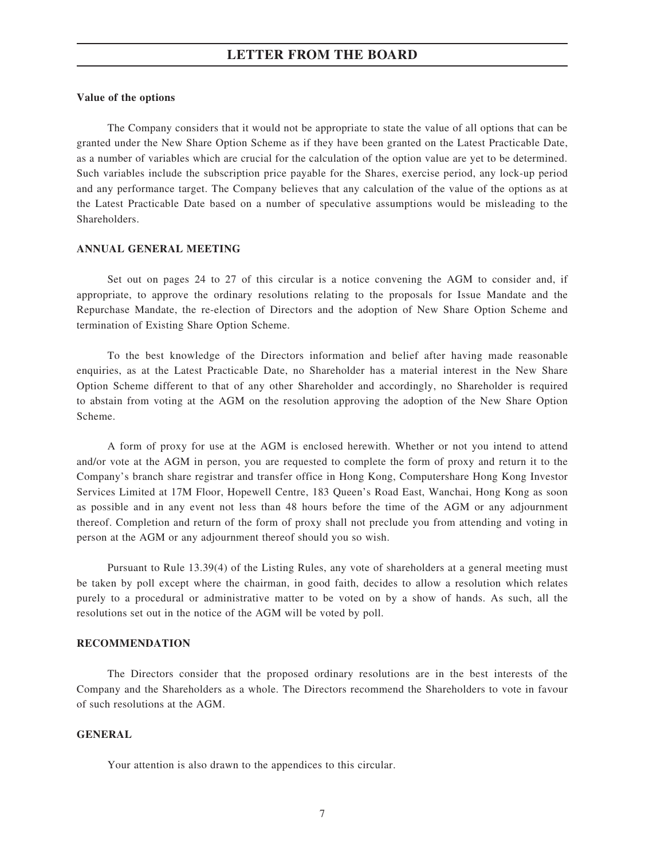#### **Value of the options**

The Company considers that it would not be appropriate to state the value of all options that can be granted under the New Share Option Scheme as if they have been granted on the Latest Practicable Date, as a number of variables which are crucial for the calculation of the option value are yet to be determined. Such variables include the subscription price payable for the Shares, exercise period, any lock-up period and any performance target. The Company believes that any calculation of the value of the options as at the Latest Practicable Date based on a number of speculative assumptions would be misleading to the Shareholders.

#### **ANNUAL GENERAL MEETING**

Set out on pages 24 to 27 of this circular is a notice convening the AGM to consider and, if appropriate, to approve the ordinary resolutions relating to the proposals for Issue Mandate and the Repurchase Mandate, the re-election of Directors and the adoption of New Share Option Scheme and termination of Existing Share Option Scheme.

To the best knowledge of the Directors information and belief after having made reasonable enquiries, as at the Latest Practicable Date, no Shareholder has a material interest in the New Share Option Scheme different to that of any other Shareholder and accordingly, no Shareholder is required to abstain from voting at the AGM on the resolution approving the adoption of the New Share Option Scheme.

A form of proxy for use at the AGM is enclosed herewith. Whether or not you intend to attend and/or vote at the AGM in person, you are requested to complete the form of proxy and return it to the Company's branch share registrar and transfer office in Hong Kong, Computershare Hong Kong Investor Services Limited at 17M Floor, Hopewell Centre, 183 Queen's Road East, Wanchai, Hong Kong as soon as possible and in any event not less than 48 hours before the time of the AGM or any adjournment thereof. Completion and return of the form of proxy shall not preclude you from attending and voting in person at the AGM or any adjournment thereof should you so wish.

Pursuant to Rule 13.39(4) of the Listing Rules, any vote of shareholders at a general meeting must be taken by poll except where the chairman, in good faith, decides to allow a resolution which relates purely to a procedural or administrative matter to be voted on by a show of hands. As such, all the resolutions set out in the notice of the AGM will be voted by poll.

#### **RECOMMENDATION**

The Directors consider that the proposed ordinary resolutions are in the best interests of the Company and the Shareholders as a whole. The Directors recommend the Shareholders to vote in favour of such resolutions at the AGM.

#### **GENERAL**

Your attention is also drawn to the appendices to this circular.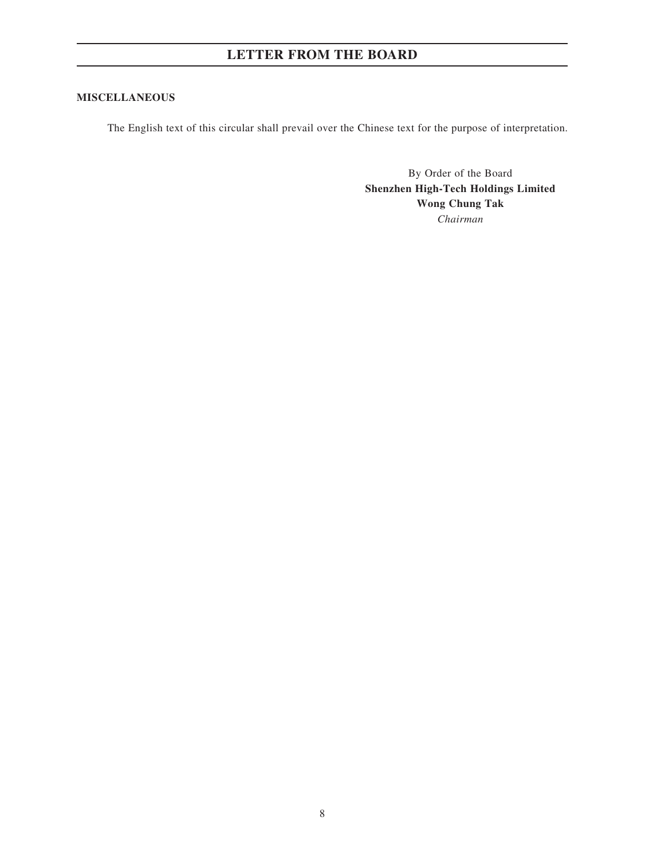### **MISCELLANEOUS**

The English text of this circular shall prevail over the Chinese text for the purpose of interpretation.

By Order of the Board **Shenzhen High-Tech Holdings Limited Wong Chung Tak** *Chairman*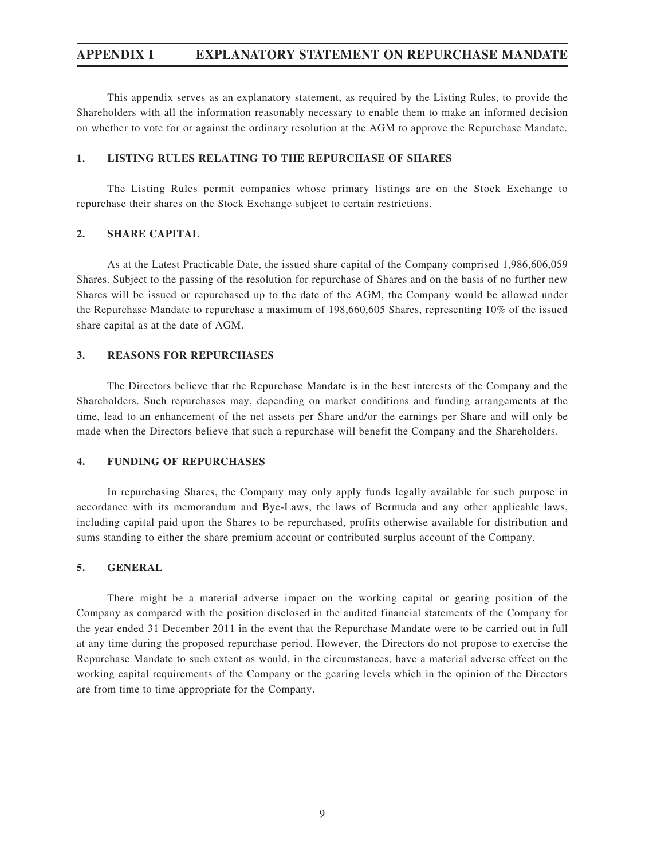## **APPENDIX I EXPLANATORY STATEMENT ON REPURCHASE MANDATE**

This appendix serves as an explanatory statement, as required by the Listing Rules, to provide the Shareholders with all the information reasonably necessary to enable them to make an informed decision on whether to vote for or against the ordinary resolution at the AGM to approve the Repurchase Mandate.

## **1. LISTING RULES RELATING TO THE REPURCHASE OF SHARES**

The Listing Rules permit companies whose primary listings are on the Stock Exchange to repurchase their shares on the Stock Exchange subject to certain restrictions.

#### **2. SHARE CAPITAL**

As at the Latest Practicable Date, the issued share capital of the Company comprised 1,986,606,059 Shares. Subject to the passing of the resolution for repurchase of Shares and on the basis of no further new Shares will be issued or repurchased up to the date of the AGM, the Company would be allowed under the Repurchase Mandate to repurchase a maximum of 198,660,605 Shares, representing 10% of the issued share capital as at the date of AGM.

#### **3. REASONS FOR REPURCHASES**

The Directors believe that the Repurchase Mandate is in the best interests of the Company and the Shareholders. Such repurchases may, depending on market conditions and funding arrangements at the time, lead to an enhancement of the net assets per Share and/or the earnings per Share and will only be made when the Directors believe that such a repurchase will benefit the Company and the Shareholders.

#### **4. FUNDING OF REPURCHASES**

In repurchasing Shares, the Company may only apply funds legally available for such purpose in accordance with its memorandum and Bye-Laws, the laws of Bermuda and any other applicable laws, including capital paid upon the Shares to be repurchased, profits otherwise available for distribution and sums standing to either the share premium account or contributed surplus account of the Company.

#### **5. GENERAL**

There might be a material adverse impact on the working capital or gearing position of the Company as compared with the position disclosed in the audited financial statements of the Company for the year ended 31 December 2011 in the event that the Repurchase Mandate were to be carried out in full at any time during the proposed repurchase period. However, the Directors do not propose to exercise the Repurchase Mandate to such extent as would, in the circumstances, have a material adverse effect on the working capital requirements of the Company or the gearing levels which in the opinion of the Directors are from time to time appropriate for the Company.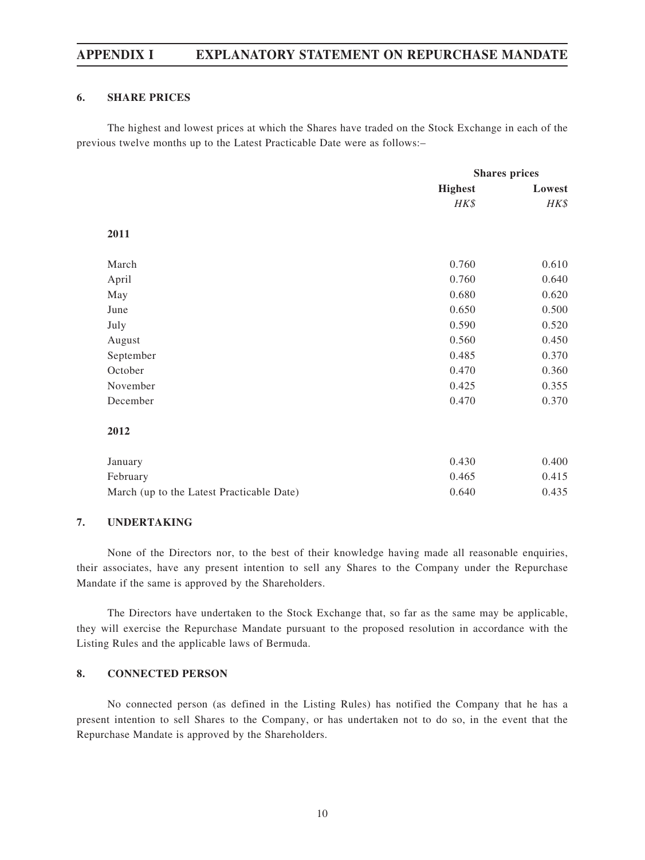## **APPENDIX I EXPLANATORY STATEMENT ON REPURCHASE MANDATE**

#### **6. SHARE PRICES**

The highest and lowest prices at which the Shares have traded on the Stock Exchange in each of the previous twelve months up to the Latest Practicable Date were as follows:–

|                                           | <b>Shares</b> prices |        |
|-------------------------------------------|----------------------|--------|
|                                           | <b>Highest</b>       | Lowest |
|                                           | HK\$                 | HK\$   |
| 2011                                      |                      |        |
| March                                     | 0.760                | 0.610  |
| April                                     | 0.760                | 0.640  |
| May                                       | 0.680                | 0.620  |
| June                                      | 0.650                | 0.500  |
| July                                      | 0.590                | 0.520  |
| August                                    | 0.560                | 0.450  |
| September                                 | 0.485                | 0.370  |
| October                                   | 0.470                | 0.360  |
| November                                  | 0.425                | 0.355  |
| December                                  | 0.470                | 0.370  |
| 2012                                      |                      |        |
| January                                   | 0.430                | 0.400  |
| February                                  | 0.465                | 0.415  |
| March (up to the Latest Practicable Date) | 0.640                | 0.435  |

#### **7. UNDERTAKING**

None of the Directors nor, to the best of their knowledge having made all reasonable enquiries, their associates, have any present intention to sell any Shares to the Company under the Repurchase Mandate if the same is approved by the Shareholders.

The Directors have undertaken to the Stock Exchange that, so far as the same may be applicable, they will exercise the Repurchase Mandate pursuant to the proposed resolution in accordance with the Listing Rules and the applicable laws of Bermuda.

#### **8. CONNECTED PERSON**

No connected person (as defined in the Listing Rules) has notified the Company that he has a present intention to sell Shares to the Company, or has undertaken not to do so, in the event that the Repurchase Mandate is approved by the Shareholders.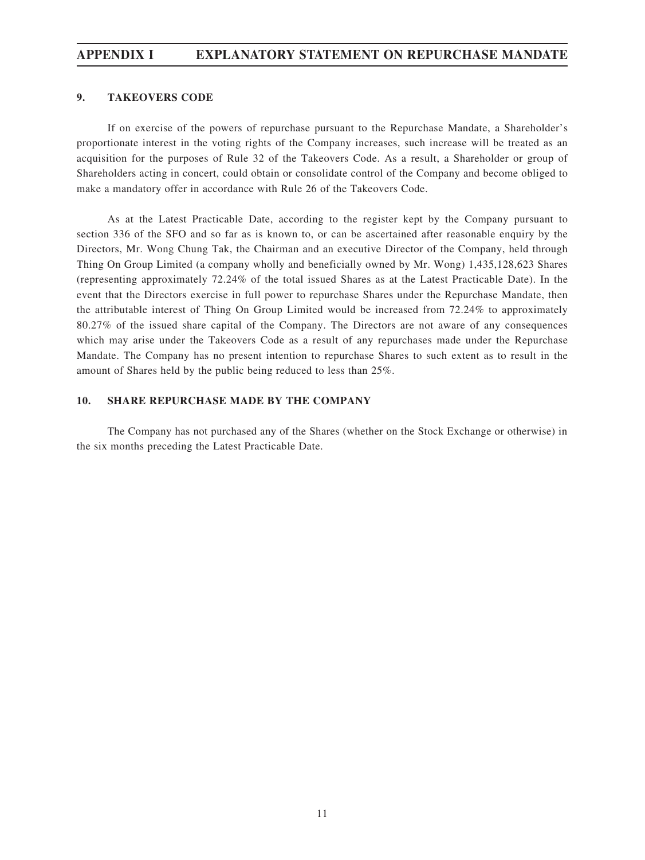## **APPENDIX I EXPLANATORY STATEMENT ON REPURCHASE MANDATE**

#### **9. TAKEOVERS CODE**

If on exercise of the powers of repurchase pursuant to the Repurchase Mandate, a Shareholder's proportionate interest in the voting rights of the Company increases, such increase will be treated as an acquisition for the purposes of Rule 32 of the Takeovers Code. As a result, a Shareholder or group of Shareholders acting in concert, could obtain or consolidate control of the Company and become obliged to make a mandatory offer in accordance with Rule 26 of the Takeovers Code.

As at the Latest Practicable Date, according to the register kept by the Company pursuant to section 336 of the SFO and so far as is known to, or can be ascertained after reasonable enquiry by the Directors, Mr. Wong Chung Tak, the Chairman and an executive Director of the Company, held through Thing On Group Limited (a company wholly and beneficially owned by Mr. Wong) 1,435,128,623 Shares (representing approximately 72.24% of the total issued Shares as at the Latest Practicable Date). In the event that the Directors exercise in full power to repurchase Shares under the Repurchase Mandate, then the attributable interest of Thing On Group Limited would be increased from 72.24% to approximately 80.27% of the issued share capital of the Company. The Directors are not aware of any consequences which may arise under the Takeovers Code as a result of any repurchases made under the Repurchase Mandate. The Company has no present intention to repurchase Shares to such extent as to result in the amount of Shares held by the public being reduced to less than 25%.

#### **10. SHARE REPURCHASE MADE BY THE COMPANY**

The Company has not purchased any of the Shares (whether on the Stock Exchange or otherwise) in the six months preceding the Latest Practicable Date.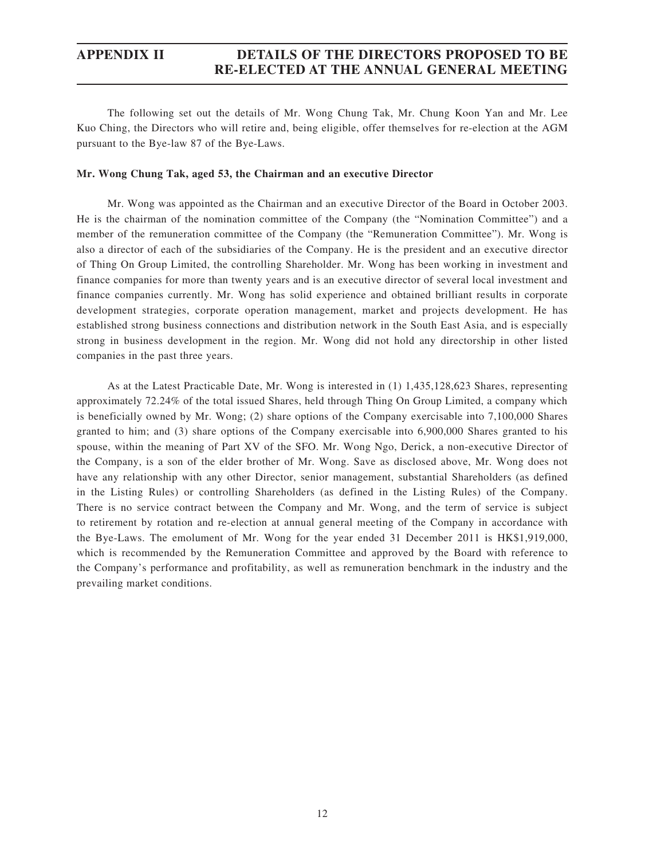## **APPENDIX II DETAILS OF THE DIRECTORS PROPOSED TO BE RE-ELECTED AT THE ANNUAL GENERAL MEETING**

The following set out the details of Mr. Wong Chung Tak, Mr. Chung Koon Yan and Mr. Lee Kuo Ching, the Directors who will retire and, being eligible, offer themselves for re-election at the AGM pursuant to the Bye-law 87 of the Bye-Laws.

#### **Mr. Wong Chung Tak, aged 53, the Chairman and an executive Director**

Mr. Wong was appointed as the Chairman and an executive Director of the Board in October 2003. He is the chairman of the nomination committee of the Company (the "Nomination Committee") and a member of the remuneration committee of the Company (the "Remuneration Committee"). Mr. Wong is also a director of each of the subsidiaries of the Company. He is the president and an executive director of Thing On Group Limited, the controlling Shareholder. Mr. Wong has been working in investment and finance companies for more than twenty years and is an executive director of several local investment and finance companies currently. Mr. Wong has solid experience and obtained brilliant results in corporate development strategies, corporate operation management, market and projects development. He has established strong business connections and distribution network in the South East Asia, and is especially strong in business development in the region. Mr. Wong did not hold any directorship in other listed companies in the past three years.

As at the Latest Practicable Date, Mr. Wong is interested in (1) 1,435,128,623 Shares, representing approximately 72.24% of the total issued Shares, held through Thing On Group Limited, a company which is beneficially owned by Mr. Wong; (2) share options of the Company exercisable into 7,100,000 Shares granted to him; and (3) share options of the Company exercisable into 6,900,000 Shares granted to his spouse, within the meaning of Part XV of the SFO. Mr. Wong Ngo, Derick, a non-executive Director of the Company, is a son of the elder brother of Mr. Wong. Save as disclosed above, Mr. Wong does not have any relationship with any other Director, senior management, substantial Shareholders (as defined in the Listing Rules) or controlling Shareholders (as defined in the Listing Rules) of the Company. There is no service contract between the Company and Mr. Wong, and the term of service is subject to retirement by rotation and re-election at annual general meeting of the Company in accordance with the Bye-Laws. The emolument of Mr. Wong for the year ended 31 December 2011 is HK\$1,919,000, which is recommended by the Remuneration Committee and approved by the Board with reference to the Company's performance and profitability, as well as remuneration benchmark in the industry and the prevailing market conditions.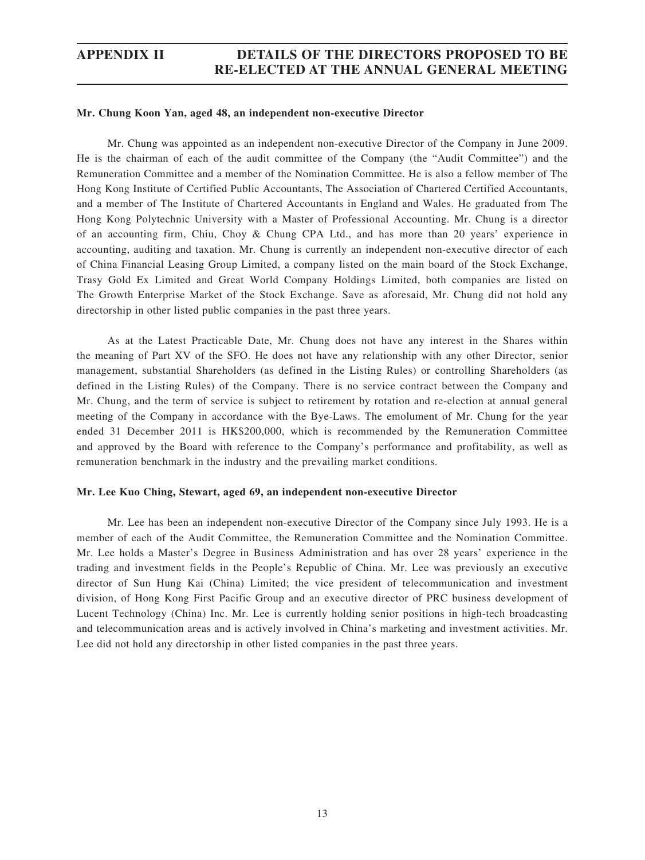# **APPENDIX II DETAILS OF THE DIRECTORS PROPOSED TO BE RE-ELECTED AT THE ANNUAL GENERAL MEETING**

#### **Mr. Chung Koon Yan, aged 48, an independent non-executive Director**

Mr. Chung was appointed as an independent non-executive Director of the Company in June 2009. He is the chairman of each of the audit committee of the Company (the "Audit Committee") and the Remuneration Committee and a member of the Nomination Committee. He is also a fellow member of The Hong Kong Institute of Certified Public Accountants, The Association of Chartered Certified Accountants, and a member of The Institute of Chartered Accountants in England and Wales. He graduated from The Hong Kong Polytechnic University with a Master of Professional Accounting. Mr. Chung is a director of an accounting firm, Chiu, Choy & Chung CPA Ltd., and has more than 20 years' experience in accounting, auditing and taxation. Mr. Chung is currently an independent non-executive director of each of China Financial Leasing Group Limited, a company listed on the main board of the Stock Exchange, Trasy Gold Ex Limited and Great World Company Holdings Limited, both companies are listed on The Growth Enterprise Market of the Stock Exchange. Save as aforesaid, Mr. Chung did not hold any directorship in other listed public companies in the past three years.

As at the Latest Practicable Date, Mr. Chung does not have any interest in the Shares within the meaning of Part XV of the SFO. He does not have any relationship with any other Director, senior management, substantial Shareholders (as defined in the Listing Rules) or controlling Shareholders (as defined in the Listing Rules) of the Company. There is no service contract between the Company and Mr. Chung, and the term of service is subject to retirement by rotation and re-election at annual general meeting of the Company in accordance with the Bye-Laws. The emolument of Mr. Chung for the year ended 31 December 2011 is HK\$200,000, which is recommended by the Remuneration Committee and approved by the Board with reference to the Company's performance and profitability, as well as remuneration benchmark in the industry and the prevailing market conditions.

#### **Mr. Lee Kuo Ching, Stewart, aged 69, an independent non-executive Director**

Mr. Lee has been an independent non-executive Director of the Company since July 1993. He is a member of each of the Audit Committee, the Remuneration Committee and the Nomination Committee. Mr. Lee holds a Master's Degree in Business Administration and has over 28 years' experience in the trading and investment fields in the People's Republic of China. Mr. Lee was previously an executive director of Sun Hung Kai (China) Limited; the vice president of telecommunication and investment division, of Hong Kong First Pacific Group and an executive director of PRC business development of Lucent Technology (China) Inc. Mr. Lee is currently holding senior positions in high-tech broadcasting and telecommunication areas and is actively involved in China's marketing and investment activities. Mr. Lee did not hold any directorship in other listed companies in the past three years.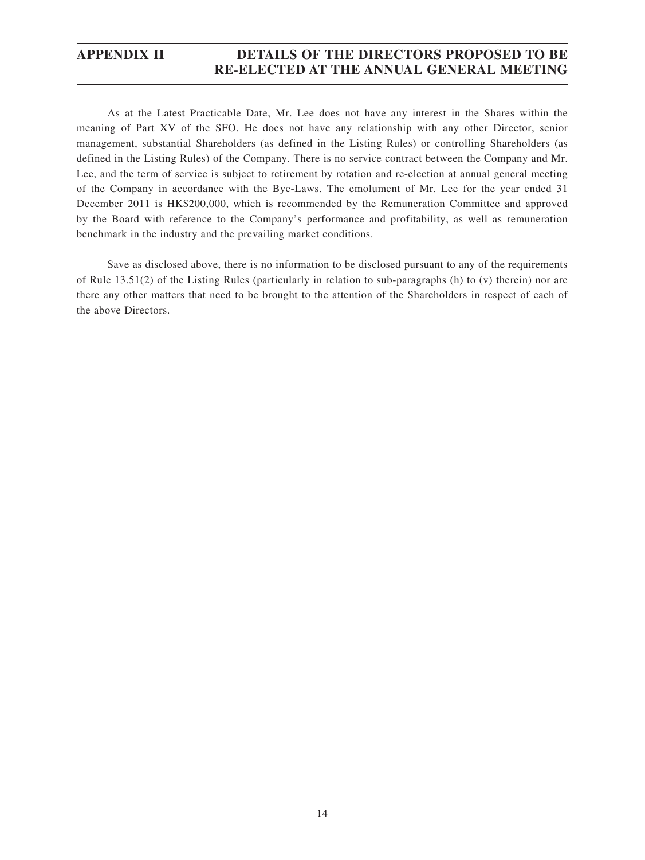## **APPENDIX II DETAILS OF THE DIRECTORS PROPOSED TO BE RE-ELECTED AT THE ANNUAL GENERAL MEETING**

As at the Latest Practicable Date, Mr. Lee does not have any interest in the Shares within the meaning of Part XV of the SFO. He does not have any relationship with any other Director, senior management, substantial Shareholders (as defined in the Listing Rules) or controlling Shareholders (as defined in the Listing Rules) of the Company. There is no service contract between the Company and Mr. Lee, and the term of service is subject to retirement by rotation and re-election at annual general meeting of the Company in accordance with the Bye-Laws. The emolument of Mr. Lee for the year ended 31 December 2011 is HK\$200,000, which is recommended by the Remuneration Committee and approved by the Board with reference to the Company's performance and profitability, as well as remuneration benchmark in the industry and the prevailing market conditions.

Save as disclosed above, there is no information to be disclosed pursuant to any of the requirements of Rule 13.51(2) of the Listing Rules (particularly in relation to sub-paragraphs (h) to (v) therein) nor are there any other matters that need to be brought to the attention of the Shareholders in respect of each of the above Directors.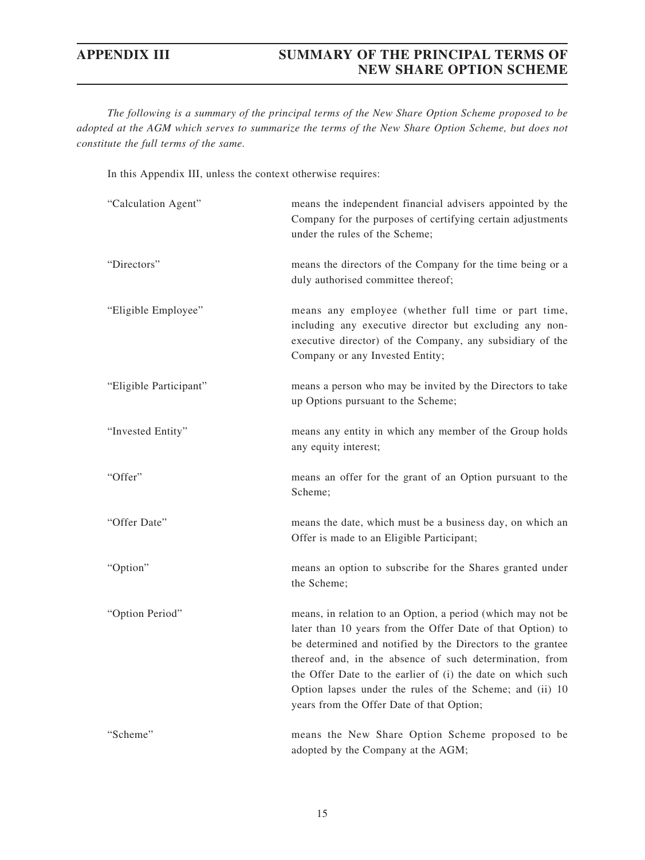*The following is a summary of the principal terms of the New Share Option Scheme proposed to be adopted at the AGM which serves to summarize the terms of the New Share Option Scheme, but does not constitute the full terms of the same.*

In this Appendix III, unless the context otherwise requires:

| "Calculation Agent"    | means the independent financial advisers appointed by the<br>Company for the purposes of certifying certain adjustments<br>under the rules of the Scheme;                                                                                                                                                                                                                                                                  |
|------------------------|----------------------------------------------------------------------------------------------------------------------------------------------------------------------------------------------------------------------------------------------------------------------------------------------------------------------------------------------------------------------------------------------------------------------------|
| "Directors"            | means the directors of the Company for the time being or a<br>duly authorised committee thereof;                                                                                                                                                                                                                                                                                                                           |
| "Eligible Employee"    | means any employee (whether full time or part time,<br>including any executive director but excluding any non-<br>executive director) of the Company, any subsidiary of the<br>Company or any Invested Entity;                                                                                                                                                                                                             |
| "Eligible Participant" | means a person who may be invited by the Directors to take<br>up Options pursuant to the Scheme;                                                                                                                                                                                                                                                                                                                           |
| "Invested Entity"      | means any entity in which any member of the Group holds<br>any equity interest;                                                                                                                                                                                                                                                                                                                                            |
| "Offer"                | means an offer for the grant of an Option pursuant to the<br>Scheme;                                                                                                                                                                                                                                                                                                                                                       |
| "Offer Date"           | means the date, which must be a business day, on which an<br>Offer is made to an Eligible Participant;                                                                                                                                                                                                                                                                                                                     |
| "Option"               | means an option to subscribe for the Shares granted under<br>the Scheme;                                                                                                                                                                                                                                                                                                                                                   |
| "Option Period"        | means, in relation to an Option, a period (which may not be<br>later than 10 years from the Offer Date of that Option) to<br>be determined and notified by the Directors to the grantee<br>thereof and, in the absence of such determination, from<br>the Offer Date to the earlier of (i) the date on which such<br>Option lapses under the rules of the Scheme; and (ii) 10<br>years from the Offer Date of that Option; |
| "Scheme"               | means the New Share Option Scheme proposed to be<br>adopted by the Company at the AGM;                                                                                                                                                                                                                                                                                                                                     |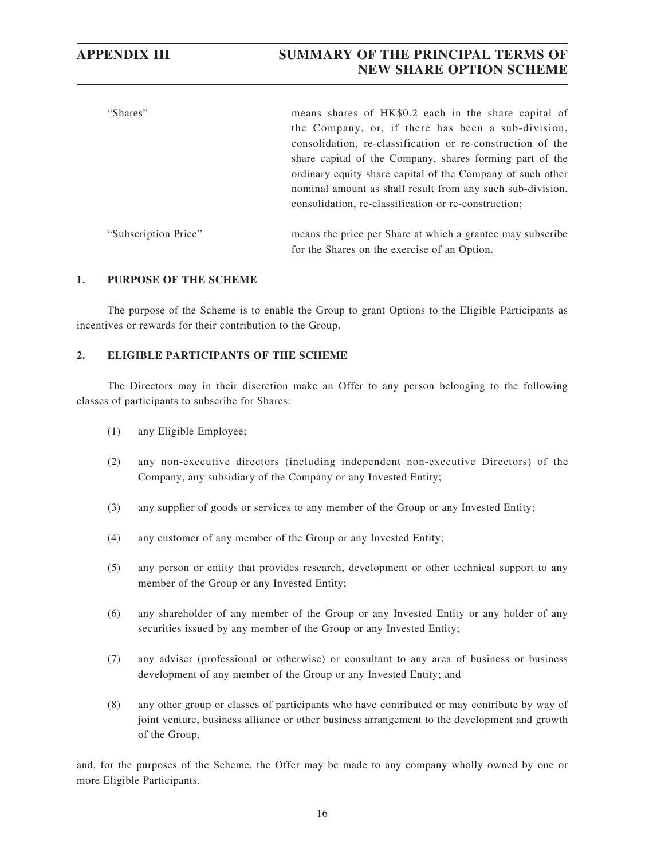| "Shares"             | means shares of HK\$0.2 each in the share capital of<br>the Company, or, if there has been a sub-division,<br>consolidation, re-classification or re-construction of the<br>share capital of the Company, shares forming part of the<br>ordinary equity share capital of the Company of such other<br>nominal amount as shall result from any such sub-division,<br>consolidation, re-classification or re-construction; |
|----------------------|--------------------------------------------------------------------------------------------------------------------------------------------------------------------------------------------------------------------------------------------------------------------------------------------------------------------------------------------------------------------------------------------------------------------------|
| "Subscription Price" | means the price per Share at which a grantee may subscribe<br>for the Shares on the exercise of an Option.                                                                                                                                                                                                                                                                                                               |

#### **1. PURPOSE OF THE SCHEME**

The purpose of the Scheme is to enable the Group to grant Options to the Eligible Participants as incentives or rewards for their contribution to the Group.

## **2. ELIGIBLE PARTICIPANTS OF THE SCHEME**

The Directors may in their discretion make an Offer to any person belonging to the following classes of participants to subscribe for Shares:

- (1) any Eligible Employee;
- (2) any non-executive directors (including independent non-executive Directors) of the Company, any subsidiary of the Company or any Invested Entity;
- (3) any supplier of goods or services to any member of the Group or any Invested Entity;
- (4) any customer of any member of the Group or any Invested Entity;
- (5) any person or entity that provides research, development or other technical support to any member of the Group or any Invested Entity;
- (6) any shareholder of any member of the Group or any Invested Entity or any holder of any securities issued by any member of the Group or any Invested Entity;
- (7) any adviser (professional or otherwise) or consultant to any area of business or business development of any member of the Group or any Invested Entity; and
- (8) any other group or classes of participants who have contributed or may contribute by way of joint venture, business alliance or other business arrangement to the development and growth of the Group,

and, for the purposes of the Scheme, the Offer may be made to any company wholly owned by one or more Eligible Participants.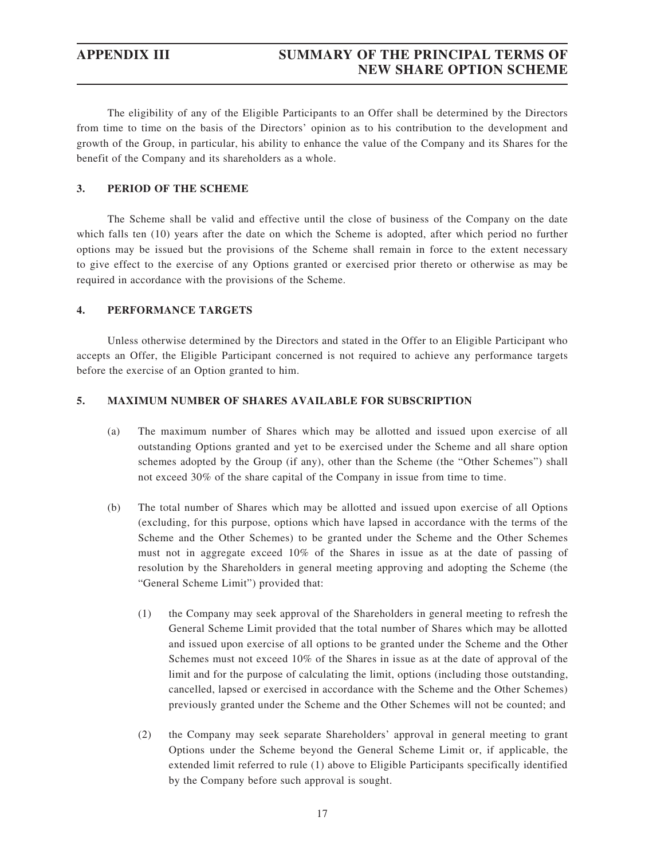The eligibility of any of the Eligible Participants to an Offer shall be determined by the Directors from time to time on the basis of the Directors' opinion as to his contribution to the development and growth of the Group, in particular, his ability to enhance the value of the Company and its Shares for the benefit of the Company and its shareholders as a whole.

## **3. PERIOD OF THE SCHEME**

The Scheme shall be valid and effective until the close of business of the Company on the date which falls ten (10) years after the date on which the Scheme is adopted, after which period no further options may be issued but the provisions of the Scheme shall remain in force to the extent necessary to give effect to the exercise of any Options granted or exercised prior thereto or otherwise as may be required in accordance with the provisions of the Scheme.

#### **4. PERFORMANCE TARGETS**

Unless otherwise determined by the Directors and stated in the Offer to an Eligible Participant who accepts an Offer, the Eligible Participant concerned is not required to achieve any performance targets before the exercise of an Option granted to him.

#### **5. MAXIMUM NUMBER OF SHARES AVAILABLE FOR SUBSCRIPTION**

- (a) The maximum number of Shares which may be allotted and issued upon exercise of all outstanding Options granted and yet to be exercised under the Scheme and all share option schemes adopted by the Group (if any), other than the Scheme (the "Other Schemes") shall not exceed 30% of the share capital of the Company in issue from time to time.
- (b) The total number of Shares which may be allotted and issued upon exercise of all Options (excluding, for this purpose, options which have lapsed in accordance with the terms of the Scheme and the Other Schemes) to be granted under the Scheme and the Other Schemes must not in aggregate exceed 10% of the Shares in issue as at the date of passing of resolution by the Shareholders in general meeting approving and adopting the Scheme (the "General Scheme Limit") provided that:
	- (1) the Company may seek approval of the Shareholders in general meeting to refresh the General Scheme Limit provided that the total number of Shares which may be allotted and issued upon exercise of all options to be granted under the Scheme and the Other Schemes must not exceed 10% of the Shares in issue as at the date of approval of the limit and for the purpose of calculating the limit, options (including those outstanding, cancelled, lapsed or exercised in accordance with the Scheme and the Other Schemes) previously granted under the Scheme and the Other Schemes will not be counted; and
	- (2) the Company may seek separate Shareholders' approval in general meeting to grant Options under the Scheme beyond the General Scheme Limit or, if applicable, the extended limit referred to rule (1) above to Eligible Participants specifically identified by the Company before such approval is sought.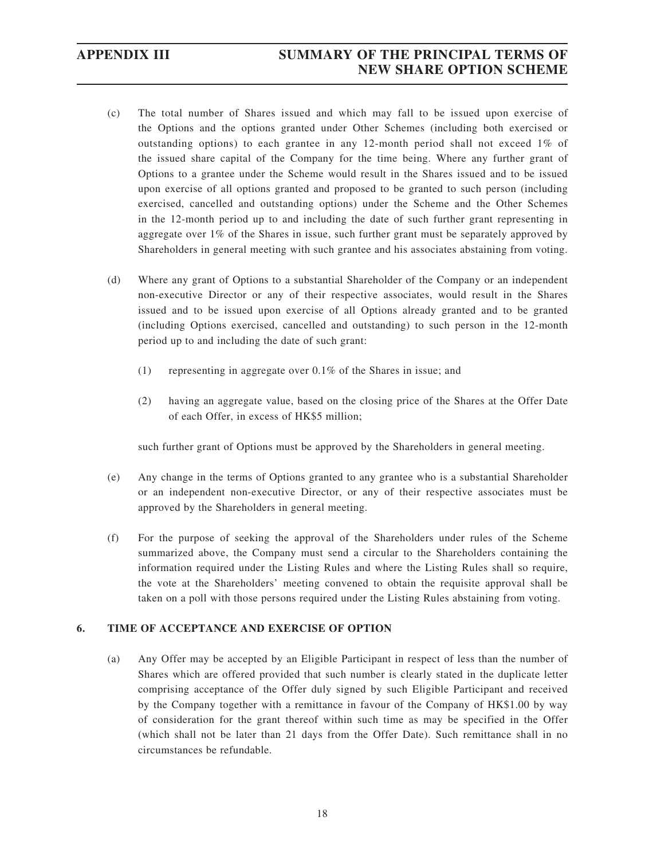- (c) The total number of Shares issued and which may fall to be issued upon exercise of the Options and the options granted under Other Schemes (including both exercised or outstanding options) to each grantee in any 12-month period shall not exceed 1% of the issued share capital of the Company for the time being. Where any further grant of Options to a grantee under the Scheme would result in the Shares issued and to be issued upon exercise of all options granted and proposed to be granted to such person (including exercised, cancelled and outstanding options) under the Scheme and the Other Schemes in the 12-month period up to and including the date of such further grant representing in aggregate over 1% of the Shares in issue, such further grant must be separately approved by Shareholders in general meeting with such grantee and his associates abstaining from voting.
- (d) Where any grant of Options to a substantial Shareholder of the Company or an independent non-executive Director or any of their respective associates, would result in the Shares issued and to be issued upon exercise of all Options already granted and to be granted (including Options exercised, cancelled and outstanding) to such person in the 12-month period up to and including the date of such grant:
	- (1) representing in aggregate over 0.1% of the Shares in issue; and
	- (2) having an aggregate value, based on the closing price of the Shares at the Offer Date of each Offer, in excess of HK\$5 million;

such further grant of Options must be approved by the Shareholders in general meeting.

- (e) Any change in the terms of Options granted to any grantee who is a substantial Shareholder or an independent non-executive Director, or any of their respective associates must be approved by the Shareholders in general meeting.
- (f) For the purpose of seeking the approval of the Shareholders under rules of the Scheme summarized above, the Company must send a circular to the Shareholders containing the information required under the Listing Rules and where the Listing Rules shall so require, the vote at the Shareholders' meeting convened to obtain the requisite approval shall be taken on a poll with those persons required under the Listing Rules abstaining from voting.

#### **6. TIME OF ACCEPTANCE AND EXERCISE OF OPTION**

(a) Any Offer may be accepted by an Eligible Participant in respect of less than the number of Shares which are offered provided that such number is clearly stated in the duplicate letter comprising acceptance of the Offer duly signed by such Eligible Participant and received by the Company together with a remittance in favour of the Company of HK\$1.00 by way of consideration for the grant thereof within such time as may be specified in the Offer (which shall not be later than 21 days from the Offer Date). Such remittance shall in no circumstances be refundable.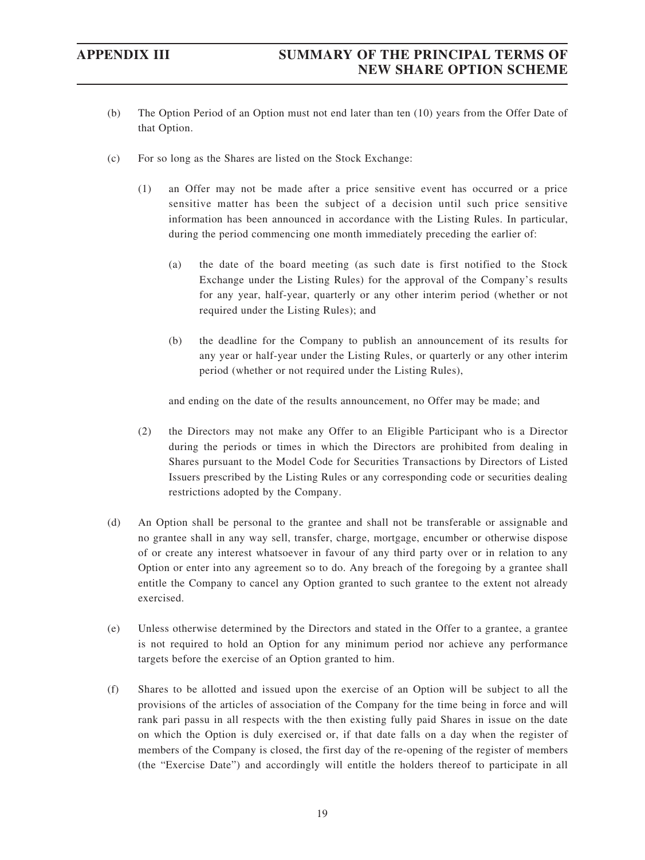- (b) The Option Period of an Option must not end later than ten (10) years from the Offer Date of that Option.
- (c) For so long as the Shares are listed on the Stock Exchange:
	- (1) an Offer may not be made after a price sensitive event has occurred or a price sensitive matter has been the subject of a decision until such price sensitive information has been announced in accordance with the Listing Rules. In particular, during the period commencing one month immediately preceding the earlier of:
		- (a) the date of the board meeting (as such date is first notified to the Stock Exchange under the Listing Rules) for the approval of the Company's results for any year, half-year, quarterly or any other interim period (whether or not required under the Listing Rules); and
		- (b) the deadline for the Company to publish an announcement of its results for any year or half-year under the Listing Rules, or quarterly or any other interim period (whether or not required under the Listing Rules),

and ending on the date of the results announcement, no Offer may be made; and

- (2) the Directors may not make any Offer to an Eligible Participant who is a Director during the periods or times in which the Directors are prohibited from dealing in Shares pursuant to the Model Code for Securities Transactions by Directors of Listed Issuers prescribed by the Listing Rules or any corresponding code or securities dealing restrictions adopted by the Company.
- (d) An Option shall be personal to the grantee and shall not be transferable or assignable and no grantee shall in any way sell, transfer, charge, mortgage, encumber or otherwise dispose of or create any interest whatsoever in favour of any third party over or in relation to any Option or enter into any agreement so to do. Any breach of the foregoing by a grantee shall entitle the Company to cancel any Option granted to such grantee to the extent not already exercised.
- (e) Unless otherwise determined by the Directors and stated in the Offer to a grantee, a grantee is not required to hold an Option for any minimum period nor achieve any performance targets before the exercise of an Option granted to him.
- (f) Shares to be allotted and issued upon the exercise of an Option will be subject to all the provisions of the articles of association of the Company for the time being in force and will rank pari passu in all respects with the then existing fully paid Shares in issue on the date on which the Option is duly exercised or, if that date falls on a day when the register of members of the Company is closed, the first day of the re-opening of the register of members (the "Exercise Date") and accordingly will entitle the holders thereof to participate in all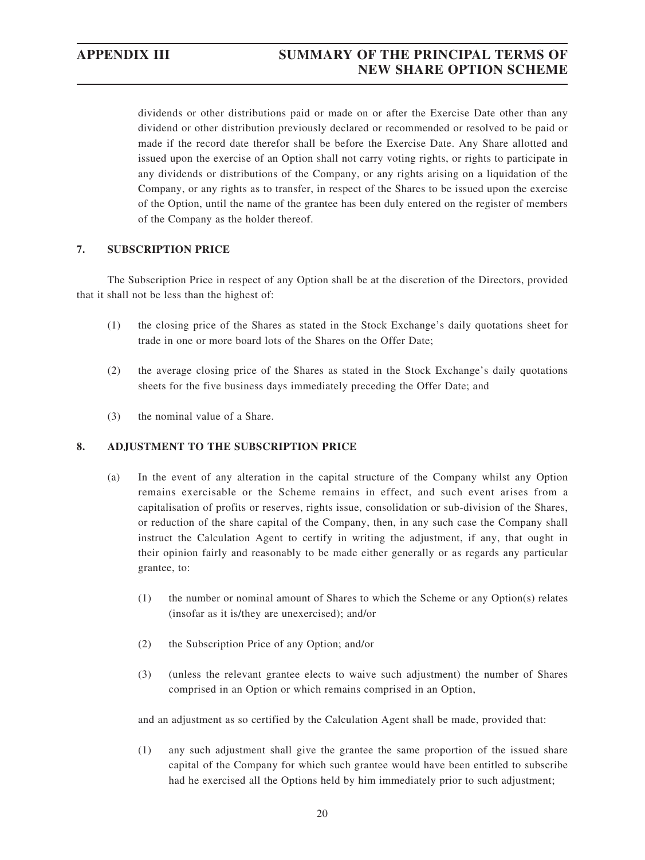dividends or other distributions paid or made on or after the Exercise Date other than any dividend or other distribution previously declared or recommended or resolved to be paid or made if the record date therefor shall be before the Exercise Date. Any Share allotted and issued upon the exercise of an Option shall not carry voting rights, or rights to participate in any dividends or distributions of the Company, or any rights arising on a liquidation of the Company, or any rights as to transfer, in respect of the Shares to be issued upon the exercise of the Option, until the name of the grantee has been duly entered on the register of members of the Company as the holder thereof.

### **7. SUBSCRIPTION PRICE**

The Subscription Price in respect of any Option shall be at the discretion of the Directors, provided that it shall not be less than the highest of:

- (1) the closing price of the Shares as stated in the Stock Exchange's daily quotations sheet for trade in one or more board lots of the Shares on the Offer Date;
- (2) the average closing price of the Shares as stated in the Stock Exchange's daily quotations sheets for the five business days immediately preceding the Offer Date; and
- (3) the nominal value of a Share.

## **8. ADJUSTMENT TO THE SUBSCRIPTION PRICE**

- (a) In the event of any alteration in the capital structure of the Company whilst any Option remains exercisable or the Scheme remains in effect, and such event arises from a capitalisation of profits or reserves, rights issue, consolidation or sub-division of the Shares, or reduction of the share capital of the Company, then, in any such case the Company shall instruct the Calculation Agent to certify in writing the adjustment, if any, that ought in their opinion fairly and reasonably to be made either generally or as regards any particular grantee, to:
	- (1) the number or nominal amount of Shares to which the Scheme or any Option(s) relates (insofar as it is/they are unexercised); and/or
	- (2) the Subscription Price of any Option; and/or
	- (3) (unless the relevant grantee elects to waive such adjustment) the number of Shares comprised in an Option or which remains comprised in an Option,

and an adjustment as so certified by the Calculation Agent shall be made, provided that:

(1) any such adjustment shall give the grantee the same proportion of the issued share capital of the Company for which such grantee would have been entitled to subscribe had he exercised all the Options held by him immediately prior to such adjustment;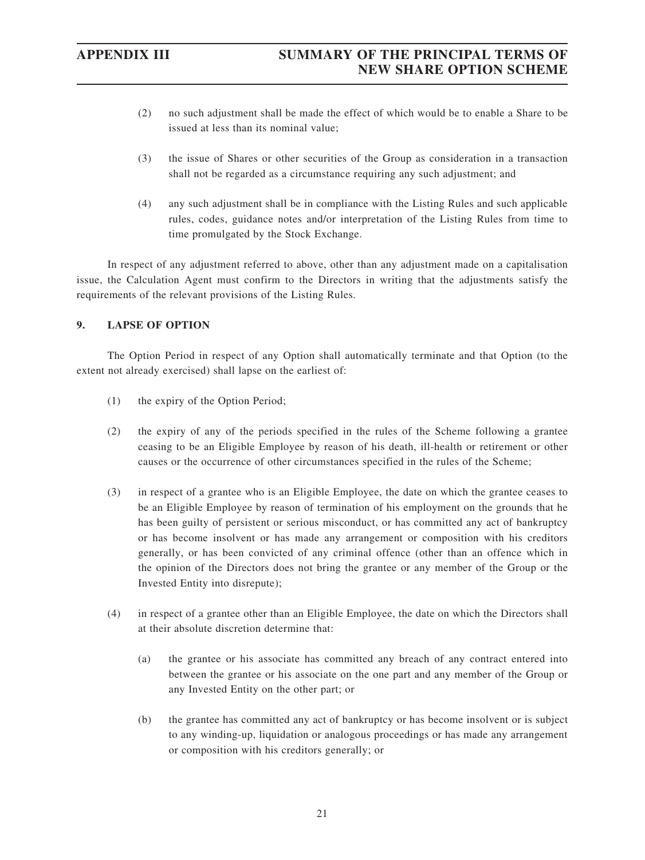- (2) no such adjustment shall be made the effect of which would be to enable a Share to be issued at less than its nominal value;
- (3) the issue of Shares or other securities of the Group as consideration in a transaction shall not be regarded as a circumstance requiring any such adjustment; and
- (4) any such adjustment shall be in compliance with the Listing Rules and such applicable rules, codes, guidance notes and/or interpretation of the Listing Rules from time to time promulgated by the Stock Exchange.

In respect of any adjustment referred to above, other than any adjustment made on a capitalisation issue, the Calculation Agent must confirm to the Directors in writing that the adjustments satisfy the requirements of the relevant provisions of the Listing Rules.

### **9. LAPSE OF OPTION**

The Option Period in respect of any Option shall automatically terminate and that Option (to the extent not already exercised) shall lapse on the earliest of:

- (1) the expiry of the Option Period;
- (2) the expiry of any of the periods specified in the rules of the Scheme following a grantee ceasing to be an Eligible Employee by reason of his death, ill-health or retirement or other causes or the occurrence of other circumstances specified in the rules of the Scheme;
- (3) in respect of a grantee who is an Eligible Employee, the date on which the grantee ceases to be an Eligible Employee by reason of termination of his employment on the grounds that he has been guilty of persistent or serious misconduct, or has committed any act of bankruptcy or has become insolvent or has made any arrangement or composition with his creditors generally, or has been convicted of any criminal offence (other than an offence which in the opinion of the Directors does not bring the grantee or any member of the Group or the Invested Entity into disrepute);
- (4) in respect of a grantee other than an Eligible Employee, the date on which the Directors shall at their absolute discretion determine that:
	- (a) the grantee or his associate has committed any breach of any contract entered into between the grantee or his associate on the one part and any member of the Group or any Invested Entity on the other part; or
	- (b) the grantee has committed any act of bankruptcy or has become insolvent or is subject to any winding-up, liquidation or analogous proceedings or has made any arrangement or composition with his creditors generally; or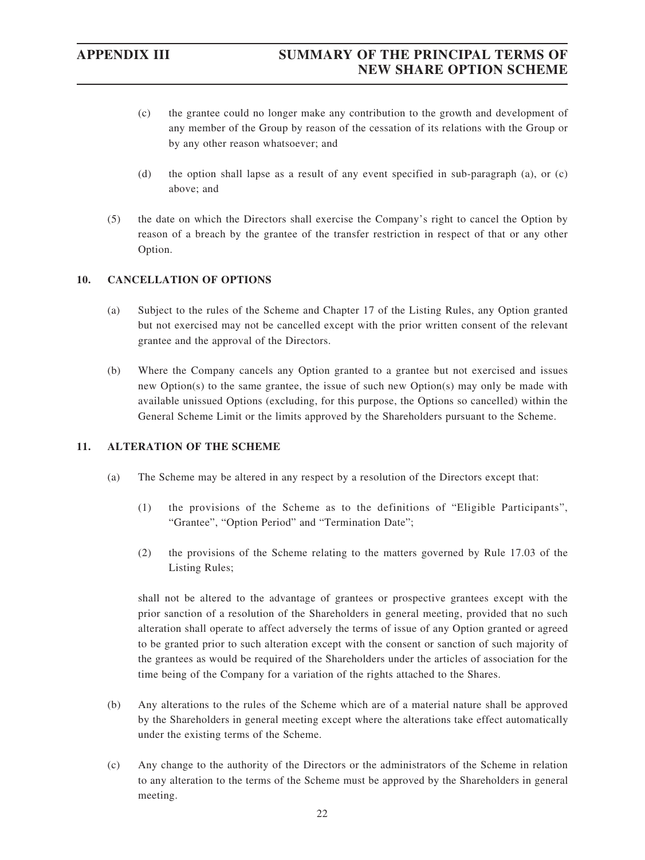- (c) the grantee could no longer make any contribution to the growth and development of any member of the Group by reason of the cessation of its relations with the Group or by any other reason whatsoever; and
- (d) the option shall lapse as a result of any event specified in sub-paragraph (a), or (c) above; and
- (5) the date on which the Directors shall exercise the Company's right to cancel the Option by reason of a breach by the grantee of the transfer restriction in respect of that or any other Option.

### **10. CANCELLATION OF OPTIONS**

- (a) Subject to the rules of the Scheme and Chapter 17 of the Listing Rules, any Option granted but not exercised may not be cancelled except with the prior written consent of the relevant grantee and the approval of the Directors.
- (b) Where the Company cancels any Option granted to a grantee but not exercised and issues new Option(s) to the same grantee, the issue of such new Option(s) may only be made with available unissued Options (excluding, for this purpose, the Options so cancelled) within the General Scheme Limit or the limits approved by the Shareholders pursuant to the Scheme.

## **11. ALTERATION OF THE SCHEME**

- (a) The Scheme may be altered in any respect by a resolution of the Directors except that:
	- (1) the provisions of the Scheme as to the definitions of "Eligible Participants", "Grantee", "Option Period" and "Termination Date";
	- (2) the provisions of the Scheme relating to the matters governed by Rule 17.03 of the Listing Rules;

shall not be altered to the advantage of grantees or prospective grantees except with the prior sanction of a resolution of the Shareholders in general meeting, provided that no such alteration shall operate to affect adversely the terms of issue of any Option granted or agreed to be granted prior to such alteration except with the consent or sanction of such majority of the grantees as would be required of the Shareholders under the articles of association for the time being of the Company for a variation of the rights attached to the Shares.

- (b) Any alterations to the rules of the Scheme which are of a material nature shall be approved by the Shareholders in general meeting except where the alterations take effect automatically under the existing terms of the Scheme.
- (c) Any change to the authority of the Directors or the administrators of the Scheme in relation to any alteration to the terms of the Scheme must be approved by the Shareholders in general meeting.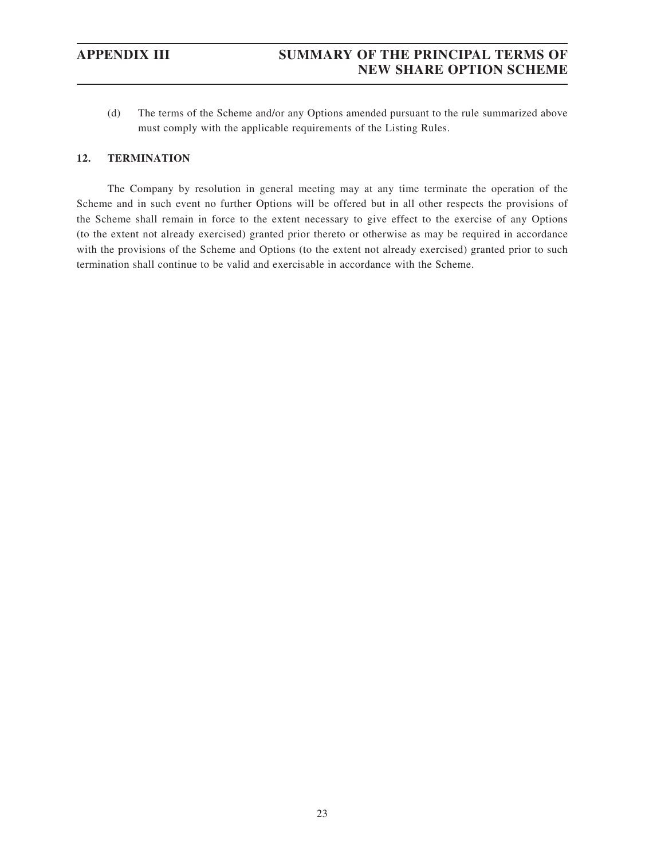(d) The terms of the Scheme and/or any Options amended pursuant to the rule summarized above must comply with the applicable requirements of the Listing Rules.

### **12. TERMINATION**

The Company by resolution in general meeting may at any time terminate the operation of the Scheme and in such event no further Options will be offered but in all other respects the provisions of the Scheme shall remain in force to the extent necessary to give effect to the exercise of any Options (to the extent not already exercised) granted prior thereto or otherwise as may be required in accordance with the provisions of the Scheme and Options (to the extent not already exercised) granted prior to such termination shall continue to be valid and exercisable in accordance with the Scheme.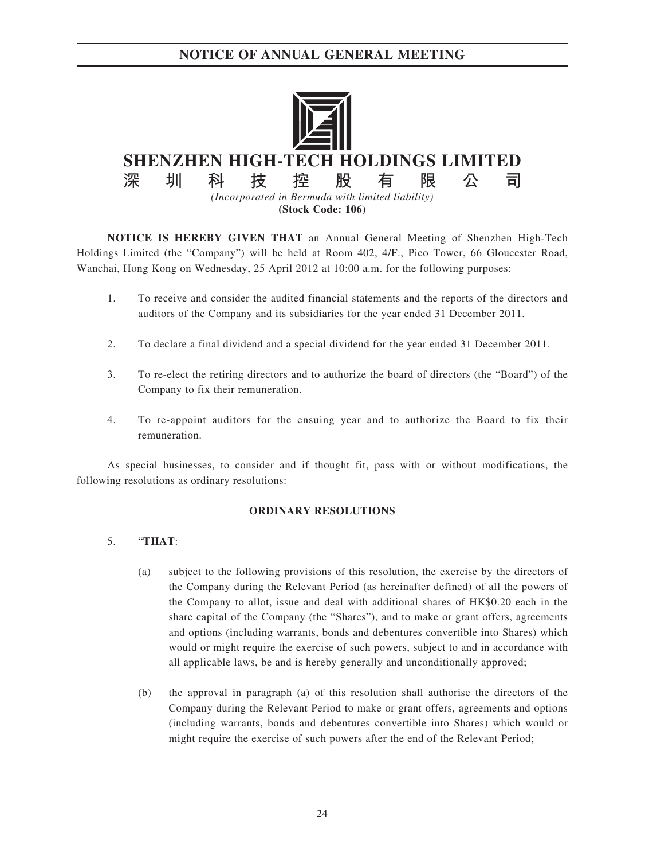

**NOTICE IS HEREBY GIVEN THAT** an Annual General Meeting of Shenzhen High-Tech Holdings Limited (the "Company") will be held at Room 402, 4/F., Pico Tower, 66 Gloucester Road, Wanchai, Hong Kong on Wednesday, 25 April 2012 at 10:00 a.m. for the following purposes:

- 1. To receive and consider the audited financial statements and the reports of the directors and auditors of the Company and its subsidiaries for the year ended 31 December 2011.
- 2. To declare a final dividend and a special dividend for the year ended 31 December 2011.
- 3. To re-elect the retiring directors and to authorize the board of directors (the "Board") of the Company to fix their remuneration.
- 4. To re-appoint auditors for the ensuing year and to authorize the Board to fix their remuneration.

As special businesses, to consider and if thought fit, pass with or without modifications, the following resolutions as ordinary resolutions:

#### **ORDINARY RESOLUTIONS**

#### 5. "**THAT**:

- (a) subject to the following provisions of this resolution, the exercise by the directors of the Company during the Relevant Period (as hereinafter defined) of all the powers of the Company to allot, issue and deal with additional shares of HK\$0.20 each in the share capital of the Company (the "Shares"), and to make or grant offers, agreements and options (including warrants, bonds and debentures convertible into Shares) which would or might require the exercise of such powers, subject to and in accordance with all applicable laws, be and is hereby generally and unconditionally approved;
- (b) the approval in paragraph (a) of this resolution shall authorise the directors of the Company during the Relevant Period to make or grant offers, agreements and options (including warrants, bonds and debentures convertible into Shares) which would or might require the exercise of such powers after the end of the Relevant Period;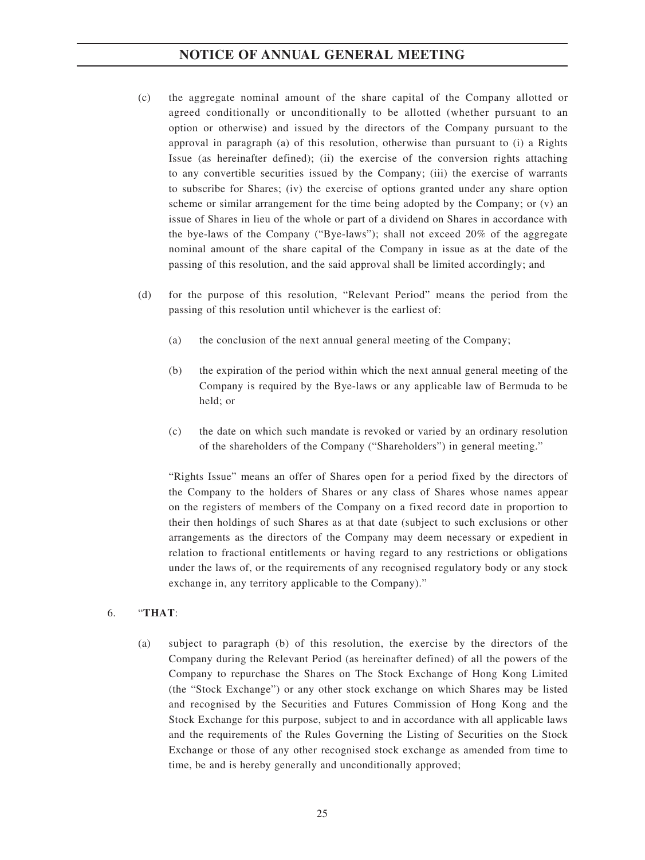- (c) the aggregate nominal amount of the share capital of the Company allotted or agreed conditionally or unconditionally to be allotted (whether pursuant to an option or otherwise) and issued by the directors of the Company pursuant to the approval in paragraph (a) of this resolution, otherwise than pursuant to (i) a Rights Issue (as hereinafter defined); (ii) the exercise of the conversion rights attaching to any convertible securities issued by the Company; (iii) the exercise of warrants to subscribe for Shares; (iv) the exercise of options granted under any share option scheme or similar arrangement for the time being adopted by the Company; or (v) an issue of Shares in lieu of the whole or part of a dividend on Shares in accordance with the bye-laws of the Company ("Bye-laws"); shall not exceed 20% of the aggregate nominal amount of the share capital of the Company in issue as at the date of the passing of this resolution, and the said approval shall be limited accordingly; and
- (d) for the purpose of this resolution, "Relevant Period" means the period from the passing of this resolution until whichever is the earliest of:
	- (a) the conclusion of the next annual general meeting of the Company;
	- (b) the expiration of the period within which the next annual general meeting of the Company is required by the Bye-laws or any applicable law of Bermuda to be held; or
	- (c) the date on which such mandate is revoked or varied by an ordinary resolution of the shareholders of the Company ("Shareholders") in general meeting."

"Rights Issue" means an offer of Shares open for a period fixed by the directors of the Company to the holders of Shares or any class of Shares whose names appear on the registers of members of the Company on a fixed record date in proportion to their then holdings of such Shares as at that date (subject to such exclusions or other arrangements as the directors of the Company may deem necessary or expedient in relation to fractional entitlements or having regard to any restrictions or obligations under the laws of, or the requirements of any recognised regulatory body or any stock exchange in, any territory applicable to the Company)."

#### 6. "**THAT**:

(a) subject to paragraph (b) of this resolution, the exercise by the directors of the Company during the Relevant Period (as hereinafter defined) of all the powers of the Company to repurchase the Shares on The Stock Exchange of Hong Kong Limited (the "Stock Exchange") or any other stock exchange on which Shares may be listed and recognised by the Securities and Futures Commission of Hong Kong and the Stock Exchange for this purpose, subject to and in accordance with all applicable laws and the requirements of the Rules Governing the Listing of Securities on the Stock Exchange or those of any other recognised stock exchange as amended from time to time, be and is hereby generally and unconditionally approved;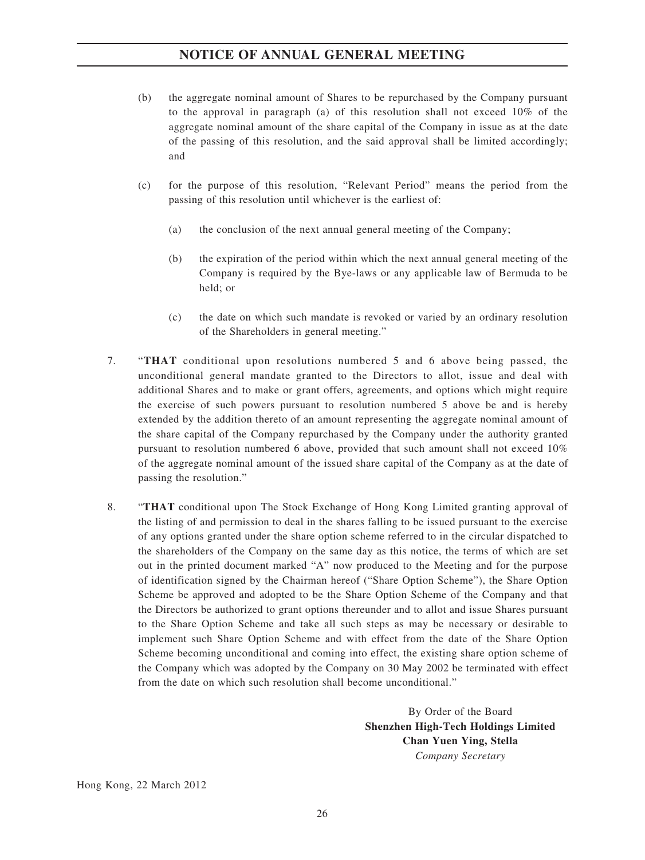- (b) the aggregate nominal amount of Shares to be repurchased by the Company pursuant to the approval in paragraph (a) of this resolution shall not exceed 10% of the aggregate nominal amount of the share capital of the Company in issue as at the date of the passing of this resolution, and the said approval shall be limited accordingly; and
- (c) for the purpose of this resolution, "Relevant Period" means the period from the passing of this resolution until whichever is the earliest of:
	- (a) the conclusion of the next annual general meeting of the Company;
	- (b) the expiration of the period within which the next annual general meeting of the Company is required by the Bye-laws or any applicable law of Bermuda to be held; or
	- (c) the date on which such mandate is revoked or varied by an ordinary resolution of the Shareholders in general meeting."
- 7. "**THAT** conditional upon resolutions numbered 5 and 6 above being passed, the unconditional general mandate granted to the Directors to allot, issue and deal with additional Shares and to make or grant offers, agreements, and options which might require the exercise of such powers pursuant to resolution numbered 5 above be and is hereby extended by the addition thereto of an amount representing the aggregate nominal amount of the share capital of the Company repurchased by the Company under the authority granted pursuant to resolution numbered 6 above, provided that such amount shall not exceed 10% of the aggregate nominal amount of the issued share capital of the Company as at the date of passing the resolution."
- 8. "**THAT** conditional upon The Stock Exchange of Hong Kong Limited granting approval of the listing of and permission to deal in the shares falling to be issued pursuant to the exercise of any options granted under the share option scheme referred to in the circular dispatched to the shareholders of the Company on the same day as this notice, the terms of which are set out in the printed document marked "A" now produced to the Meeting and for the purpose of identification signed by the Chairman hereof ("Share Option Scheme"), the Share Option Scheme be approved and adopted to be the Share Option Scheme of the Company and that the Directors be authorized to grant options thereunder and to allot and issue Shares pursuant to the Share Option Scheme and take all such steps as may be necessary or desirable to implement such Share Option Scheme and with effect from the date of the Share Option Scheme becoming unconditional and coming into effect, the existing share option scheme of the Company which was adopted by the Company on 30 May 2002 be terminated with effect from the date on which such resolution shall become unconditional."

By Order of the Board **Shenzhen High-Tech Holdings Limited Chan Yuen Ying, Stella** *Company Secretary*

Hong Kong, 22 March 2012